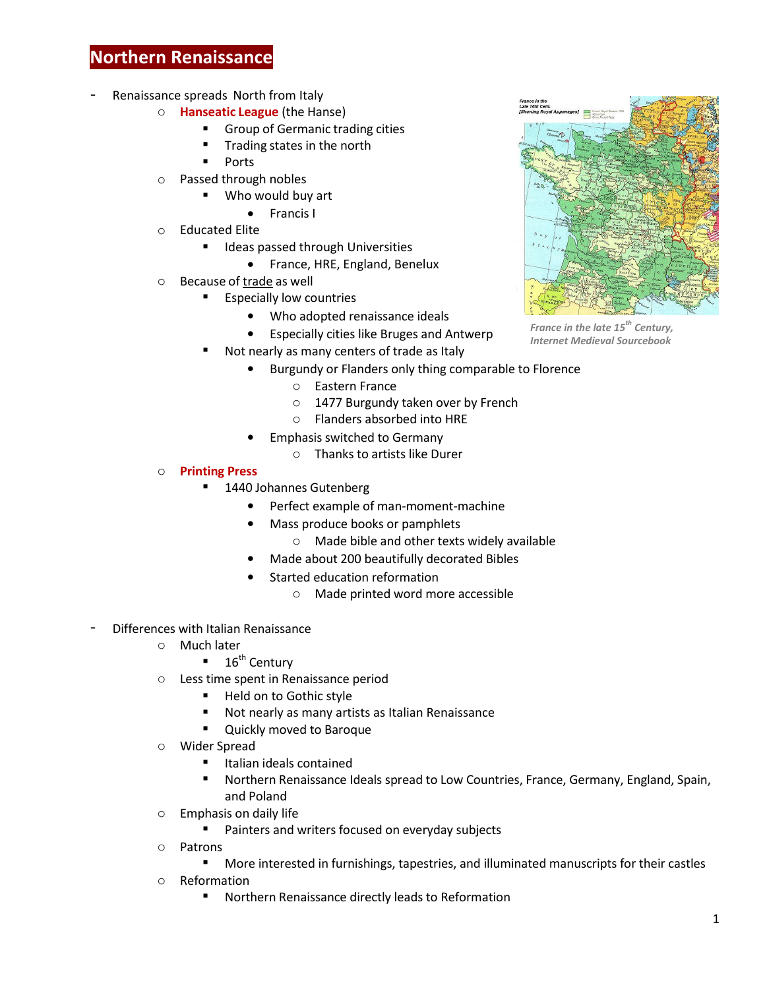## **Northern Renaissance**

- Renaissance spreads North from Italy
	- o **Hanseatic League** (the Hanse)
		- **Group of Germanic trading cities**
		- Trading states in the north
		- Ports
	- o Passed through nobles
		- Who would buy art
			- Francis I
	- o Educated Elite
		- **IDEAS** 1 Ideas passed through Universities
			- France, HRE, England, Benelux
	- o Because of trade as well
		- Especially low countries
			- Who adopted renaissance ideals
			- Especially cities like Bruges and Antwerp
		- Not nearly as many centers of trade as Italy
			- Burgundy or Flanders only thing comparable to Florence
				- o Eastern France
				- o 1477 Burgundy taken over by French
				- o Flanders absorbed into HRE
				- Emphasis switched to Germany
					- o Thanks to artists like Durer
	- o **Printing Press**
		- 1440 Johannes Gutenberg
			- Perfect example of man-moment-machine
			- Mass produce books or pamphlets
				- o Made bible and other texts widely available
			- Made about 200 beautifully decorated Bibles
			- Started education reformation
				- o Made printed word more accessible
- Differences with Italian Renaissance
	- o Much later
		- $\blacksquare$  16<sup>th</sup> Century
	- o Less time spent in Renaissance period
		- Held on to Gothic style
		- Not nearly as many artists as Italian Renaissance
		- **Quickly moved to Baroque**
	- o Wider Spread
		- Italian ideals contained
		- Northern Renaissance Ideals spread to Low Countries, France, Germany, England, Spain, and Poland
	- o Emphasis on daily life
		- **Painters and writers focused on everyday subjects**
	- o Patrons
		- More interested in furnishings, tapestries, and illuminated manuscripts for their castles
	- o Reformation
		- Northern Renaissance directly leads to Reformation



*France in the late 15th Century, Internet Medieval Sourcebook*